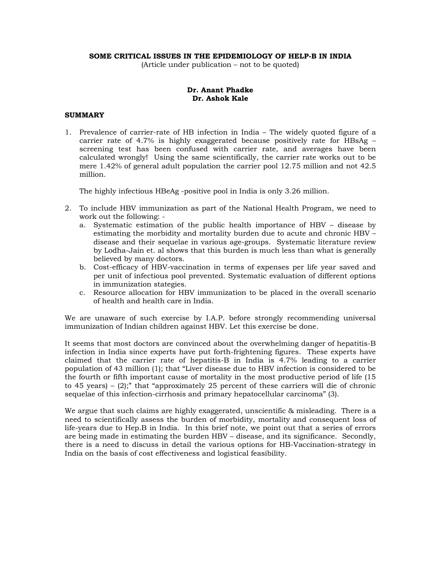#### **SOME CRITICAL ISSUES IN THE EPIDEMIOLOGY OF HELP-B IN INDIA**

(Article under publication – not to be quoted)

## **Dr. Anant Phadke Dr. Ashok Kale**

# **SUMMARY**

1. Prevalence of carrier-rate of HB infection in India – The widely quoted figure of a carrier rate of 4.7% is highly exaggerated because positively rate for HBsAg – screening test has been confused with carrier rate, and averages have been calculated wrongly! Using the same scientifically, the carrier rate works out to be mere 1.42% of general adult population the carrier pool 12.75 million and not 42.5 million.

The highly infectious HBeAg -positive pool in India is only 3.26 million.

- 2. To include HBV immunization as part of the National Health Program, we need to work out the following:
	- a. Systematic estimation of the public health importance of HBV disease by estimating the morbidity and mortality burden due to acute and chronic HBV – disease and their sequelae in various age-groups. Systematic literature review by Lodha-Jain et. al shows that this burden is much less than what is generally believed by many doctors.
	- b. Cost-efficacy of HBV-vaccination in terms of expenses per life year saved and per unit of infectious pool prevented. Systematic evaluation of different options in immunization stategies.
	- c. Resource allocation for HBV immunization to be placed in the overall scenario of health and health care in India.

We are unaware of such exercise by I.A.P. before strongly recommending universal immunization of Indian children against HBV. Let this exercise be done.

It seems that most doctors are convinced about the overwhelming danger of hepatitis-B infection in India since experts have put forth-frightening figures. These experts have claimed that the carrier rate of hepatitis-B in India is 4.7% leading to a carrier population of 43 million (1); that "Liver disease due to HBV infection is considered to be the fourth or fifth important cause of mortality in the most productive period of life (15 to 45 years) – (2);" that "approximately 25 percent of these carriers will die of chronic sequelae of this infection-cirrhosis and primary hepatocellular carcinoma" (3).

We argue that such claims are highly exaggerated, unscientific & misleading. There is a need to scientifically assess the burden of morbidity, mortality and consequent loss of life-years due to Hep.B in India. In this brief note, we point out that a series of errors are being made in estimating the burden HBV – disease, and its significance. Secondly, there is a need to discuss in detail the various options for HB-Vaccination-strategy in India on the basis of cost effectiveness and logistical feasibility.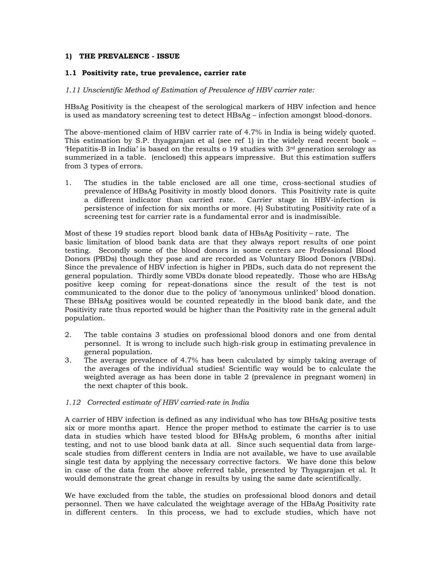## **1) THE PREVALENCE - ISSUE**

## **1.1 Positivity rate, true prevalence, carrier rate**

### *1.11 Unscientific Method of Estimation of Prevalence of HBV carrier rate:*

HBsAg Positivity is the cheapest of the serological markers of HBV infection and hence is used as mandatory screening test to detect HBsAg – infection amongst blood-donors.

The above-mentioned claim of HBV carrier rate of 4.7% in India is being widely quoted. This estimation by S.P. thyagarajan et al (see ref 1) in the widely read recent book – 'Hepatitis-B in India' is based on the results o 19 studies with  $3<sup>rd</sup>$  generation serology as summerized in a table. (enclosed) this appears impressive. But this estimation suffers from 3 types of errors.

1. The studies in the table enclosed are all one time, cross-sectional studies of prevalence of HBsAg Positivity in mostly blood donors. This Positivity rate is quite a different indicator than carried rate. Carrier stage in HBV-infection is persistence of infection for six months or more. (4) Substituting Positivity rate of a screening test for carrier rate is a fundamental error and is inadmissible.

Most of these 19 studies report blood bank data of HBsAg Positivity – rate. The basic limitation of blood bank data are that they always report results of one point testing. Secondly some of the blood donors in some centers are Professional Blood Donors (PBDs) though they pose and are recorded as Voluntary Blood Donors (VBDs). Since the prevalence of HBV infection is higher in PBDs, such data do not represent the general population. Thirdly some VBDs donate blood repeatedly. Those who are HBsAg positive keep coming for repeat-donations since the result of the test is not communicated to the donor due to the policy of 'anonymous unlinked' blood donation. These BHsAg positives would be counted repeatedly in the blood bank date, and the Positivity rate thus reported would be higher than the Positivity rate in the general adult population.

- 2. The table contains 3 studies on professional blood donors and one from dental personnel. It is wrong to include such high-risk group in estimating prevalence in general population.
- 3. The average prevalence of 4.7% has been calculated by simply taking average of the averages of the individual studies! Scientific way would be to calculate the weighted average as has been done in table 2 (prevalence in pregnant women) in the next chapter of this book.

### *1.12 Corrected estimate of HBV carried-rate in India*

A carrier of HBV infection is defined as any individual who has tow BHsAg positive tests six or more months apart. Hence the proper method to estimate the carrier is to use data in studies which have tested blood for BHsAg problem, 6 months after initial testing, and not to use blood bank data at all. Since such sequential data from largescale studies from different centers in India are not available, we have to use available single test data by applying the necessary corrective factors. We have done this below in case of the data from the above referred table, presented by Thyagarajan et al. It would demonstrate the great change in results by using the same date scientifically.

We have excluded from the table, the studies on professional blood donors and detail personnel. Then we have calculated the weightage average of the HBsAg Positivity rate in different centers. In this process, we had to exclude studies, which have not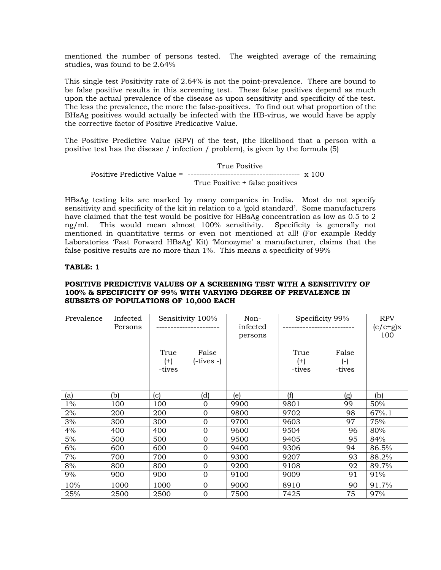mentioned the number of persons tested. The weighted average of the remaining studies, was found to be 2.64%

This single test Positivity rate of 2.64% is not the point-prevalence. There are bound to be false positive results in this screening test. These false positives depend as much upon the actual prevalence of the disease as upon sensitivity and specificity of the test. The less the prevalence, the more the false-positives. To find out what proportion of the BHsAg positives would actually be infected with the HB-virus, we would have be apply the corrective factor of Positive Predicative Value.

The Positive Predictive Value (RPV) of the test, (the likelihood that a person with a positive test has the disease / infection / problem), is given by the formula (5)

 True Positive Positive Predictive Value = --------------------------------------- x 100 True Positive + false positives

HBsAg testing kits are marked by many companies in India. Most do not specify sensitivity and specificity of the kit in relation to a 'gold standard'. Some manufacturers have claimed that the test would be positive for HBsAg concentration as low as 0.5 to 2 ng/ml. This would mean almost 100% sensitivity. Specificity is generally not mentioned in quantitative terms or even not mentioned at all! (For example Reddy Laboratories 'Fast Forward HBsAg' Kit) 'Monozyme' a manufacturer, claims that the false positive results are no more than  $1\%$ . This means a specificity of 99%

## **TABLE: 1**

## **POSITIVE PREDICTIVE VALUES OF A SCREENING TEST WITH A SENSITIVITY OF 100% & SPECIFICITY OF 99% WITH VARYING DEGREE OF PREVALENCE IN SUBSETS OF POPULATIONS OF 10,000 EACH**

| Prevalence | Infected<br>Persons | Sensitivity 100% |                | Non-<br>infected<br>persons | Specificity 99% |        | <b>RPV</b><br>$(c/c+g)x$<br>100 |
|------------|---------------------|------------------|----------------|-----------------------------|-----------------|--------|---------------------------------|
|            |                     | True             | False          |                             | True            | False  |                                 |
|            |                     | $^{(+)}$         | (-tives -)     |                             | $^{(+)}$        | $(-)$  |                                 |
|            |                     | -tives           |                |                             | -tives          | -tives |                                 |
|            |                     |                  |                |                             |                 |        |                                 |
| (a)        | (b)                 | (c)              | (d)            | (e)                         | (f)             | (g)    | (h)                             |
| $1\%$      | 100                 | 100              | $\Omega$       | 9900                        | 9801            | 99     | 50%                             |
| 2%         | 200                 | 200              | $\Omega$       | 9800                        | 9702            | 98     | 67%.1                           |
| 3%         | 300                 | 300              | $\Omega$       | 9700                        | 9603            | 97     | 75%                             |
| 4%         | 400                 | 400              | $\overline{0}$ | 9600                        | 9504            | 96     | 80%                             |
| 5%         | 500                 | 500              | $\Omega$       | 9500                        | 9405            | 95     | 84%                             |
| 6%         | 600                 | 600              | 0              | 9400                        | 9306            | 94     | 86.5%                           |
| 7%         | 700                 | 700              | $\Omega$       | 9300                        | 9207            | 93     | 88.2%                           |
| 8%         | 800                 | 800              | $\Omega$       | 9200                        | 9108            | 92     | 89.7%                           |
| 9%         | 900                 | 900              | 0              | 9100                        | 9009            | 91     | 91%                             |
| 10%        | 1000                | 1000             | 0              | 9000                        | 8910            | 90     | 91.7%                           |
| 25%        | 2500                | 2500             | $\overline{0}$ | 7500                        | 7425            | 75     | 97%                             |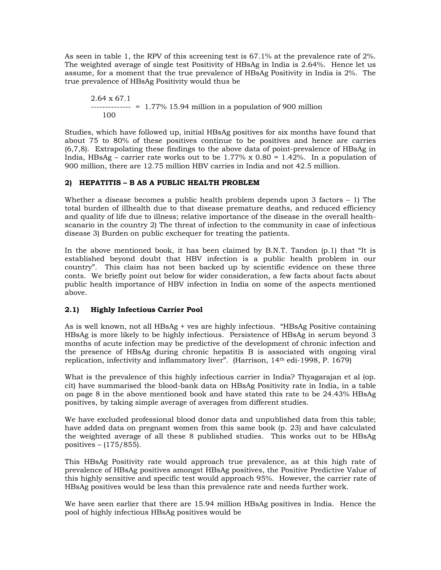As seen in table 1, the RPV of this screening test is 67.1% at the prevalence rate of 2%. The weighted average of single test Positivity of HBsAg in India is 2.64%. Hence let us assume, for a moment that the true prevalence of HBsAg Positivity in India is 2%. The true prevalence of HBsAg Positivity would thus be

2.64 x 67.1  $--- = 1.77\%$  15.94 million in a population of 900 million 100

Studies, which have followed up, initial HBsAg positives for six months have found that about 75 to 80% of these positives continue to be positives and hence are carries (6,7,8). Extrapolating these findings to the above data of point-prevalence of HBsAg in India, HBsAg – carrier rate works out to be 1.77% x  $0.80 = 1.42$ %. In a population of 900 million, there are 12.75 million HBV carries in India and not 42.5 million.

# **2) HEPATITIS – B AS A PUBLIC HEALTH PROBLEM**

Whether a disease becomes a public health problem depends upon 3 factors  $-1$ ) The total burden of illhealth due to that disease premature deaths, and reduced efficiency and quality of life due to illness; relative importance of the disease in the overall healthscanario in the country 2) The threat of infection to the community in case of infectious disease 3) Burden on public exchequer for treating the patients.

In the above mentioned book, it has been claimed by B.N.T. Tandon (p.1) that "It is established beyond doubt that HBV infection is a public health problem in our country". This claim has not been backed up by scientific evidence on these three conts. We briefly point out below for wider consideration, a few facts about facts about public health importance of HBV infection in India on some of the aspects mentioned above.

# **2.1) Highly Infectious Carrier Pool**

As is well known, not all HBsAg + ves are highly infectious. "HBsAg Positive containing HBsAg is more likely to be highly infectious. Persistence of HBsAg in serum beyond 3 months of acute infection may be predictive of the development of chronic infection and the presence of HBsAg during chronic hepatitis B is associated with ongoing viral replication, infectivity and inflammatory liver". (Harrison, 14th edi-1998, P. 1679)

What is the prevalence of this highly infectious carrier in India? Thyagarajan et al (op. cit) have summarised the blood-bank data on HBsAg Positivity rate in India, in a table on page 8 in the above mentioned book and have stated this rate to be 24.43% HBsAg positives, by taking simple average of averages from different studies.

We have excluded professional blood donor data and unpublished data from this table; have added data on pregnant women from this same book (p. 23) and have calculated the weighted average of all these 8 published studies. This works out to be HBsAg positives – (175/855).

This HBsAg Positivity rate would approach true prevalence, as at this high rate of prevalence of HBsAg positives amongst HBsAg positives, the Positive Predictive Value of this highly sensitive and specific test would approach 95%. However, the carrier rate of HBsAg positives would be less than this prevalence rate and needs further work.

We have seen earlier that there are 15.94 million HBsAg positives in India. Hence the pool of highly infectious HBsAg positives would be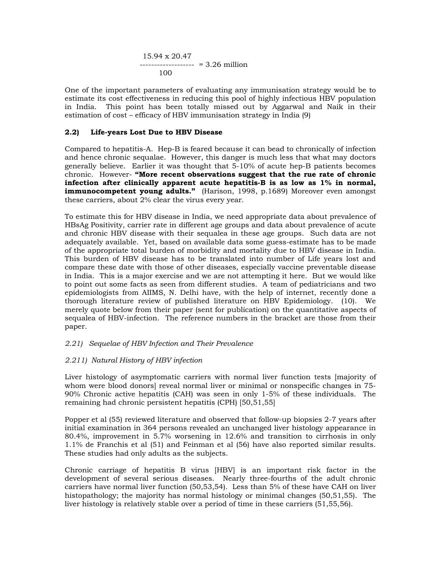$$
15.94 \times 20.47
$$
  
-----  
100 = 3.26 million

One of the important parameters of evaluating any immunisation strategy would be to estimate its cost effectiveness in reducing this pool of highly infectious HBV population in India. This point has been totally missed out by Aggarwal and Naik in their estimation of cost – efficacy of HBV immunisation strategy in India (9)

## **2.2) Life-years Lost Due to HBV Disease**

Compared to hepatitis-A. Hep-B is feared because it can bead to chronically of infection and hence chronic sequalae. However, this danger is much less that what may doctors generally believe. Earlier it was thought that 5-10% of acute hep-B patients becomes chronic. However- **"More recent observations suggest that the rue rate of chronic infection after clinically apparent acute hepatitis-B is as low as 1% in normal, immunocompetent young adults."** (Harison, 1998, p.1689) Moreover even amongst these carriers, about 2% clear the virus every year.

To estimate this for HBV disease in India, we need appropriate data about prevalence of HBsAg Positivity, carrier rate in different age groups and data about prevalence of acute and chronic HBV disease with their sequalea in these age groups. Such data are not adequately available. Yet, based on available data some guess-estimate has to be made of the appropriate total burden of morbidity and mortality due to HBV disease in India. This burden of HBV disease has to be translated into number of Life years lost and compare these date with those of other diseases, especially vaccine preventable disease in India. This is a major exercise and we are not attempting it here. But we would like to point out some facts as seen from different studies. A team of pediatricians and two epidemiologists from AIIMS, N. Delhi have, with the help of internet, recently done a thorough literature review of published literature on HBV Epidemiology. (10). We merely quote below from their paper (sent for publication) on the quantitative aspects of sequalea of HBV-infection. The reference numbers in the bracket are those from their paper.

### *2.21) Sequelae of HBV Infection and Their Prevalence*

## *2.211) Natural History of HBV infection*

Liver histology of asymptomatic carriers with normal liver function tests [majority of whom were blood donors] reveal normal liver or minimal or nonspecific changes in 75- 90% Chronic active hepatitis (CAH) was seen in only 1-5% of these individuals. The remaining had chronic persistent hepatitis (CPH) [50,51,55]

Popper et al (55) reviewed literature and observed that follow-up biopsies 2-7 years after initial examination in 364 persons revealed an unchanged liver histology appearance in 80.4%, improvement in 5.7% worsening in 12.6% and transition to cirrhosis in only 1.1% de Franchis et al (51) and Feinman et al (56) have also reported similar results. These studies had only adults as the subjects.

Chronic carriage of hepatitis B virus [HBV] is an important risk factor in the development of several serious diseases. Nearly three-fourths of the adult chronic carriers have normal liver function (50,53,54). Less than 5% of these have CAH on liver histopathology; the majority has normal histology or minimal changes (50,51,55). The liver histology is relatively stable over a period of time in these carriers (51,55,56).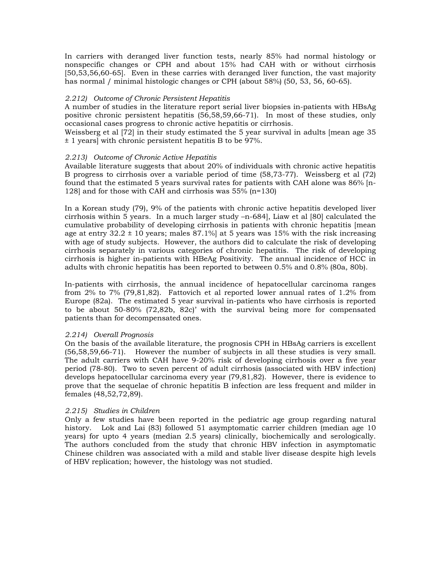In carriers with deranged liver function tests, nearly 85% had normal histology or nonspecific changes or CPH and about 15% had CAH with or without cirrhosis [50,53,56,60-65]. Even in these carries with deranged liver function, the vast majority has normal / minimal histologic changes or CPH (about 58%) (50, 53, 56, 60-65).

## *2.212) Outcome of Chronic Persistent Hepatitis*

A number of studies in the literature report serial liver biopsies in-patients with HBsAg positive chronic persistent hepatitis (56,58,59,66-71). In most of these studies, only occasional cases progress to chronic active hepatitis or cirrhosis.

Weissberg et al [72] in their study estimated the 5 year survival in adults [mean age 35 ± 1 years] with chronic persistent hepatitis B to be 97%.

### *2.213) Outcome of Chronic Active Hepatitis*

Available literature suggests that about 20% of individuals with chronic active hepatitis B progress to cirrhosis over a variable period of time (58,73-77). Weissberg et al (72) found that the estimated 5 years survival rates for patients with CAH alone was 86% [n-128] and for those with CAH and cirrhosis was 55% (n=130)

In a Korean study (79), 9% of the patients with chronic active hepatitis developed liver cirrhosis within 5 years. In a much larger study –n-684], Liaw et al [80] calculated the cumulative probability of developing cirrhosis in patients with chronic hepatitis [mean age at entry  $32.2 \pm 10$  years; males  $87.1\%$  at 5 years was 15% with the risk increasing with age of study subjects. However, the authors did to calculate the risk of developing cirrhosis separately in various categories of chronic hepatitis. The risk of developing cirrhosis is higher in-patients with HBeAg Positivity. The annual incidence of HCC in adults with chronic hepatitis has been reported to between 0.5% and 0.8% (80a, 80b).

In-patients with cirrhosis, the annual incidence of hepatocellular carcinoma ranges from 2% to 7% (79,81,82). Fattovich et al reported lower annual rates of 1.2% from Europe (82a). The estimated 5 year survival in-patients who have cirrhosis is reported to be about 50-80% (72,82b, 82c)' with the survival being more for compensated patients than for decompensated ones.

### *2.214) Overall Prognosis*

On the basis of the available literature, the prognosis CPH in HBsAg carriers is excellent (56,58,59,66-71). However the number of subjects in all these studies is very small. The adult carriers with CAH have 9-20% risk of developing cirrhosis over a five year period (78-80). Two to seven percent of adult cirrhosis (associated with HBV infection) develops hepatocellular carcinoma every year (79,81,82). However, there is evidence to prove that the sequelae of chronic hepatitis B infection are less frequent and milder in females (48,52,72,89).

### *2.215) Studies in Children*

Only a few studies have been reported in the pediatric age group regarding natural history. Lok and Lai (83) followed 51 asymptomatic carrier children (median age 10 years) for upto 4 years (median 2.5 years) clinically, biochemically and serologically. The authors concluded from the study that chronic HBV infection in asymptomatic Chinese children was associated with a mild and stable liver disease despite high levels of HBV replication; however, the histology was not studied.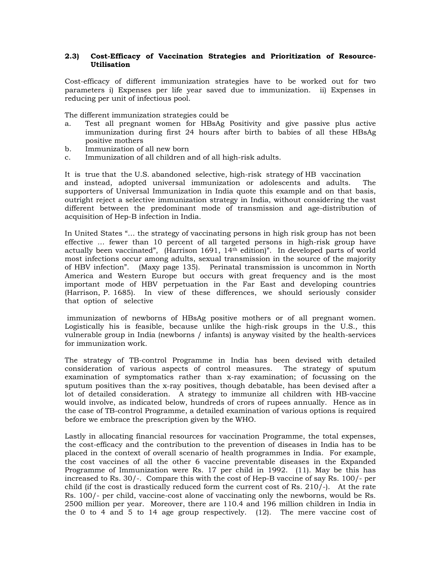## **2.3) Cost-Efficacy of Vaccination Strategies and Prioritization of Resource-Utilisation**

Cost-efficacy of different immunization strategies have to be worked out for two parameters i) Expenses per life year saved due to immunization. ii) Expenses in reducing per unit of infectious pool.

The different immunization strategies could be

- a. Test all pregnant women for HBsAg Positivity and give passive plus active immunization during first 24 hours after birth to babies of all these HBsAg positive mothers
- b. Immunization of all new born
- c. Immunization of all children and of all high-risk adults.

It is true that the U.S. abandoned selective, high-risk strategy of HB vaccination and instead, adopted universal immunization or adolescents and adults. The supporters of Universal Immunization in India quote this example and on that basis, outright reject a selective immunization strategy in India, without considering the vast different between the predominant mode of transmission and age-distribution of acquisition of Hep-B infection in India.

In United States "… the strategy of vaccinating persons in high risk group has not been effective … fewer than 10 percent of all targeted persons in high-risk group have actually been vaccinated", (Harrison 1691, 14th edition)". In developed parts of world most infections occur among adults, sexual transmission in the source of the majority of HBV infection". (Maxy page 135). Perinatal transmission is uncommon in North America and Western Europe but occurs with great frequency and is the most important mode of HBV perpetuation in the Far East and developing countries (Harrison, P. 1685). In view of these differences, we should seriously consider that option of selective

 immunization of newborns of HBsAg positive mothers or of all pregnant women. Logistically his is feasible, because unlike the high-risk groups in the U.S., this vulnerable group in India (newborns / infants) is anyway visited by the health-services for immunization work.

The strategy of TB-control Programme in India has been devised with detailed consideration of various aspects of control measures. The strategy of sputum examination of symptomatics rather than x-ray examination; of focussing on the sputum positives than the x-ray positives, though debatable, has been devised after a lot of detailed consideration. A strategy to immunize all children with HB-vaccine would involve, as indicated below, hundreds of crors of rupees annually. Hence as in the case of TB-control Programme, a detailed examination of various options is required before we embrace the prescription given by the WHO.

Lastly in allocating financial resources for vaccination Programme, the total expenses, the cost-efficacy and the contribution to the prevention of diseases in India has to be placed in the context of overall scenario of health programmes in India. For example, the cost vaccines of all the other 6 vaccine preventable diseases in the Expanded Programme of Immunization were Rs. 17 per child in 1992. (11). May be this has increased to Rs. 30/-. Compare this with the cost of Hep-B vaccine of say Rs. 100/- per child (if the cost is drastically reduced form the current cost of Rs. 210/-). At the rate Rs. 100/- per child, vaccine-cost alone of vaccinating only the newborns, would be Rs. 2500 million per year. Moreover, there are 110.4 and 196 million children in India in the 0 to 4 and 5 to 14 age group respectively.  $(12)$ . The mere vaccine cost of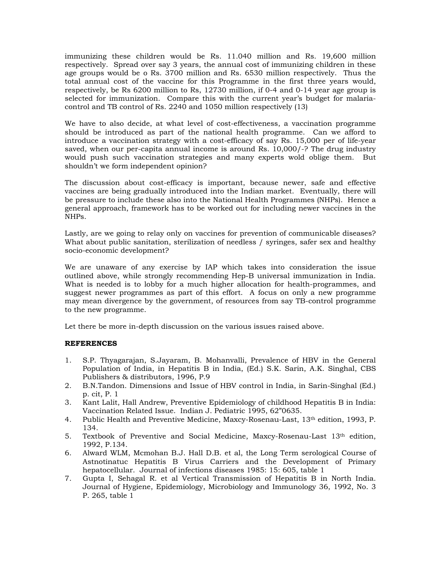immunizing these children would be Rs. 11.040 million and Rs. 19,600 million respectively. Spread over say 3 years, the annual cost of immunizing children in these age groups would be o Rs. 3700 million and Rs. 6530 million respectively. Thus the total annual cost of the vaccine for this Programme in the first three years would, respectively, be Rs 6200 million to Rs, 12730 million, if 0-4 and 0-14 year age group is selected for immunization. Compare this with the current year's budget for malariacontrol and TB control of Rs. 2240 and 1050 million respectively (13)

We have to also decide, at what level of cost-effectiveness, a vaccination programme should be introduced as part of the national health programme. Can we afford to introduce a vaccination strategy with a cost-efficacy of say Rs. 15,000 per of life-year saved, when our per-capita annual income is around Rs. 10,000/-? The drug industry would push such vaccination strategies and many experts wold oblige them. But shouldn't we form independent opinion?

The discussion about cost-efficacy is important, because newer, safe and effective vaccines are being gradually introduced into the Indian market. Eventually, there will be pressure to include these also into the National Health Programmes (NHPs). Hence a general approach, framework has to be worked out for including newer vaccines in the NHPs.

Lastly, are we going to relay only on vaccines for prevention of communicable diseases? What about public sanitation, sterilization of needless / syringes, safer sex and healthy socio-economic development?

We are unaware of any exercise by IAP which takes into consideration the issue outlined above, while strongly recommending Hep-B universal immunization in India. What is needed is to lobby for a much higher allocation for health-programmes, and suggest newer programmes as part of this effort. A focus on only a new programme may mean divergence by the government, of resources from say TB-control programme to the new programme.

Let there be more in-depth discussion on the various issues raised above.

## **REFERENCES**

- 1. S.P. Thyagarajan, S.Jayaram, B. Mohanvalli, Prevalence of HBV in the General Population of India, in Hepatitis B in India, (Ed.) S.K. Sarin, A.K. Singhal, CBS Publishers & distributors, 1996, P.9
- 2. B.N.Tandon. Dimensions and Issue of HBV control in India, in Sarin-Singhal (Ed.) p. cit, P. 1
- 3. Kant Lalit, Hall Andrew, Preventive Epidemiology of childhood Hepatitis B in India: Vaccination Related Issue. Indian J. Pediatric 1995, 62"0635.
- 4. Public Health and Preventive Medicine, Maxcy-Rosenau-Last, 13th edition, 1993, P. 134.
- 5. Textbook of Preventive and Social Medicine, Maxcy-Rosenau-Last 13th edition, 1992, P.134.
- 6. Alward WLM, Mcmohan B.J. Hall D.B. et al, the Long Term serological Course of Astnotinatuc Hepatitis B Virus Carriers and the Development of Primary hepatocellular. Journal of infections diseases 1985: 15: 605, table 1
- 7. Gupta I, Sehagal R. et al Vertical Transmission of Hepatitis B in North India. Journal of Hygiene, Epidemiology, Microbiology and Immunology 36, 1992, No. 3 P. 265, table 1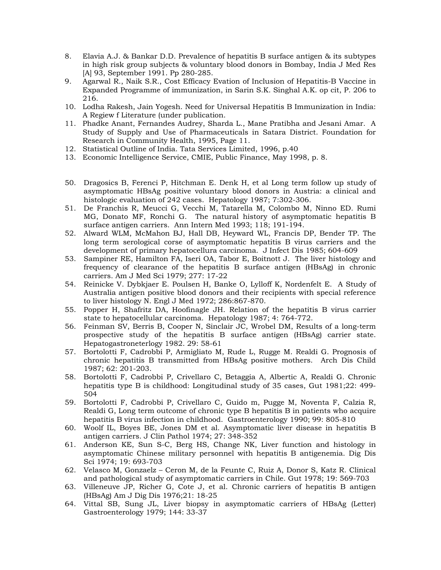- 8. Elavia A.J. & Bankar D.D. Prevalence of hepatitis B surface antigen & its subtypes in high risk group subjects & voluntary blood donors in Bombay, India J Med Res [A] 93, September 1991. Pp 280-285.
- 9. Agarwal R., Naik S.R., Cost Efficacy Evation of Inclusion of Hepatitis-B Vaccine in Expanded Programme of immunization, in Sarin S.K. Singhal A.K. op cit, P. 206 to 216.
- 10. Lodha Rakesh, Jain Yogesh. Need for Universal Hepatitis B Immunization in India: A Regiew f Literature (under publication.
- 11. Phadke Anant, Fernandes Audrey, Sharda L., Mane Pratibha and Jesani Amar. A Study of Supply and Use of Pharmaceuticals in Satara District. Foundation for Research in Community Health, 1995, Page 11.
- 12. Statistical Outline of India. Tata Services Limited, 1996, p.40
- 13. Economic Intelligence Service, CMIE, Public Finance, May 1998, p. 8.
- 50. Dragosics B, Ferenci P, Hitchman E. Denk H, et al Long term follow up study of asymptomatic HBsAg positive voluntary blood donors in Austria: a clinical and histologic evaluation of 242 cases. Hepatology 1987; 7:302-306.
- 51. De Franchis R, Meucci G, Vecchi M, Tatarella M, Colombo M, Ninno ED. Rumi MG, Donato MF, Ronchi G. The natural history of asymptomatic hepatitis B surface antigen carriers. Ann Intern Med 1993; 118; 191-194.
- 52. Alward WLM, McMahon BJ, Hall DB, Heyward WL, Francis DP, Bender TP. The long term serological corse of asymptomatic hepatitis B virus carriers and the development of primary hepatocellura carcinoma. J Infect Dis 1985; 604-609
- 53. Sampiner RE, Hamilton FA, Iseri OA, Tabor E, Boitnott J. The liver histology and frequency of clearance of the hepatitis B surface antigen (HBsAg) in chronic carriers. Am J Med Sci 1979; 277: 17-22
- 54. Reinicke V. Dybkjaer E. Poulsen H, Banke O, Lylloff K, Nordenfelt E. A Study of Australia antigen positive blood donors and their recipients with special reference to liver histology N. Engl J Med 1972; 286:867-870.
- 55. Popper H, Shafritz DA, Hoofinagle JH. Relation of the hepatitis B virus carrier state to hepatocellular carcinoma. Hepatology 1987; 4: 764-772.
- 56. Feinman SV, Berris B, Cooper N, Sinclair JC, Wrobel DM, Results of a long-term prospective study of the hepatitis B surface antigen (HBsAg) carrier state. Hepatogastroneterlogy 1982. 29: 58-61
- 57. Bortolotti F, Cadrobbi P, Armigliato M, Rude L, Rugge M. Realdi G. Prognosis of chronic hepatitis B transmitted from HBsAg positive mothers. Arch Dis Child 1987; 62: 201-203.
- 58. Bortolotti F, Cadrobbi P, Crivellaro C, Betaggia A, Albertic A, Realdi G. Chronic hepatitis type B is childhood: Longitudinal study of 35 cases, Gut 1981;22: 499- 504
- 59. Bortolotti F, Cadrobbi P, Crivellaro C, Guido m, Pugge M, Noventa F, Calzia R, Realdi G, Long term outcome of chronic type B hepatitis B in patients who acquire hepatitis B virus infection in childhood. Gastroenterology 1990; 99: 805-810
- 60. Woolf IL, Boyes BE, Jones DM et al. Asymptomatic liver disease in hepatitis B antigen carriers. J Clin Pathol 1974; 27: 348-352
- 61. Anderson KE, Sun S-C, Berg HS, Change NK, Liver function and histology in asymptomatic Chinese military personnel with hepatitis B antigenemia. Dig Dis Sci 1974; 19: 693-703
- 62. Velasco M, Gonzaelz Ceron M, de la Feunte C, Ruiz A, Donor S, Katz R. Clinical and pathological study of asymptomatic carriers in Chile. Gut 1978; 19: 569-703
- 63. Villeneuve JP, Richer G, Cote J, et al. Chronic carriers of hepatitis B antigen (HBsAg) Am J Dig Dis 1976;21: 18-25
- 64. Vittal SB, Sung JL, Liver biopsy in asymptomatic carriers of HBsAg (Letter) Gastroenterology 1979; 144: 33-37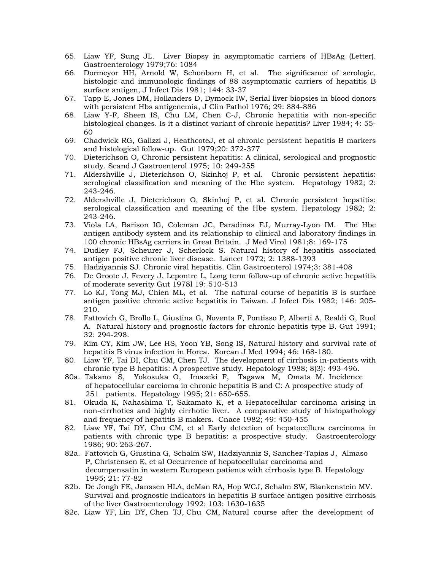- 65. Liaw YF, Sung JL. Liver Biopsy in asymptomatic carriers of HBsAg (Letter). Gastroenterology 1979;76: 1084
- 66. Dormeyor HH, Arnold W, Schonborn H, et al. The significance of serologic, histologic and immunologic findings of 88 asymptomatic carriers of hepatitis B surface antigen, J Infect Dis 1981; 144: 33-37
- 67. Tapp E, Jones DM, Hollanders D, Dymock IW, Serial liver biopsies in blood donors with persistent Hbs antigenemia, J Clin Pathol 1976; 29: 884-886
- 68. Liaw Y-F, Sheen IS, Chu LM, Chen C-J, Chronic hepatitis with non-specific histological changes. Is it a distinct variant of chronic hepatitis? Liver 1984; 4: 55- 60
- 69. Chadwick RG, Galizzi J, HeathcoteJ, et al chronic persistent hepatitis B markers and histological follow-up. Gut 1979;20: 372-377
- 70. Dieterichson O, Chronic persistent hepatitis: A clinical, serological and prognostic study. Scand J Gastroenterol 1975; 10: 249-255
- 71. Aldershville J, Dieterichson O, Skinhoj P, et al. Chronic persistent hepatitis: serological classification and meaning of the Hbe system. Hepatology 1982; 2: 243-246.
- 72. Aldershville J, Dieterichson O, Skinhoj P, et al. Chronic persistent hepatitis: serological classification and meaning of the Hbe system. Hepatology 1982; 2: 243-246.
- 73. Viola LA, Barison IG, Coleman JC, Paradinas FJ, Murray-Lyon IM. The Hbe antigen antibody system and its relationship to clinical and laboratory findings in 100 chronic HBsAg carriers in Great Britain. J Med Virol 1981;8: 169-175
- 74. Dudley FJ, Scheurer J, Scherlock S. Natural history of hepatitis associated antigen positive chronic liver disease. Lancet 1972; 2: 1388-1393
- 75. Hadziyannis SJ. Chronic viral hepatitis. Clin Gastroenterol 1974;3: 381-408
- 76. De Groote J, Fevery J, Lepontre L, Long term follow-up of chronic active hepatitis of moderate severity Gut 1978l 19: 510-513
- 77. Lo KJ, Tong MJ, Chien ML, et al. The natural course of hepatitis B is surface antigen positive chronic active hepatitis in Taiwan. J Infect Dis 1982; 146: 205- 210.
- 78. Fattovich G, Brollo L, Giustina G, Noventa F, Pontisso P, Alberti A, Realdi G, Ruol A. Natural history and prognostic factors for chronic hepatitis type B. Gut 1991; 32: 294-298.
- 79. Kim CY, Kim JW, Lee HS, Yoon YB, Song IS, Natural history and survival rate of hepatitis B virus infection in Horea. Korean J Med 1994; 46: 168-180.
- 80. Liaw YF, Tai DI, Chu CM, Chen TJ. The development of cirrhosis in-patients with chronic type B hepatitis: A prospective study. Hepatology 1988; 8(3): 493-496.
- 80a. Takano S, Yokosuka O, Imazeki F, Tagawa M, Omata M. Incidence of hepatocellular carcioma in chronic hepatitis B and C: A prospective study of 251 patients. Hepatology 1995; 21: 650-655.
- 81. Okuda K, Nahashima T, Sakamato K, et a Hepatocellular carcinoma arising in non-cirrhotics and highly cirrhotic liver. A comparative study of histopathology and frequency of hepatitis B makers. Cnace 1982; 49: 450-455
- 82. Liaw YF, Tai DY, Chu CM, et al Early detection of hepatocellura carcinoma in patients with chronic type B hepatitis: a prospective study. Gastroenterology 1986; 90: 263-267.
- 82a. Fattovich G, Giustina G, Schalm SW, Hadziyanniz S, Sanchez-Tapias J, Almaso P, Christensen E, et al Occurrence of hepatocellular carcinoma and decompensatin in western European patients with cirrhosis type B. Hepatology 1995; 21: 77-82
- 82b. De Jongh FE, Janssen HLA, deMan RA, Hop WCJ, Schalm SW, Blankenstein MV. Survival and prognostic indicators in hepatitis B surface antigen positive cirrhosis of the liver Gastroenterology 1992; 103: 1630-1635
- 82c. Liaw YF, Lin DY, Chen TJ, Chu CM, Natural course after the development of